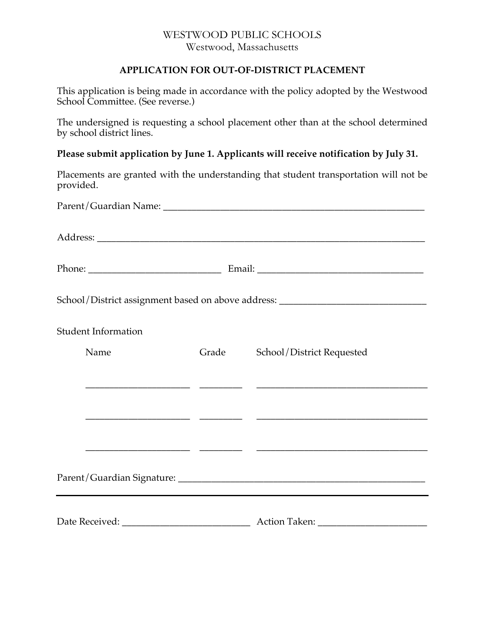## WESTWOOD PUBLIC SCHOOLS Westwood, Massachusetts

## **APPLICATION FOR OUT-OF-DISTRICT PLACEMENT**

This application is being made in accordance with the policy adopted by the Westwood School Committee. (See reverse.)

The undersigned is requesting a school placement other than at the school determined by school district lines.

**Please submit application by June 1. Applicants will receive notification by July 31.**

Placements are granted with the understanding that student transportation will not be provided.

|                            |       | School/District assignment based on above address: _____________________________ |  |
|----------------------------|-------|----------------------------------------------------------------------------------|--|
| <b>Student Information</b> |       |                                                                                  |  |
| Name                       | Grade | School/District Requested                                                        |  |
|                            |       |                                                                                  |  |
|                            |       |                                                                                  |  |
|                            |       |                                                                                  |  |
|                            |       |                                                                                  |  |
|                            |       |                                                                                  |  |